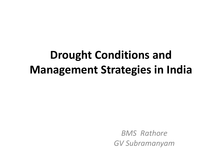# **Drought Conditions and Management Strategies in India**

*BMS Rathore GV Subramanyam*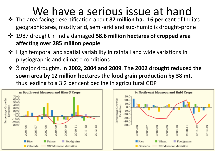# We have a serious issue at hand

- The area facing desertification about **82 million ha. 16 per cent** of India's geographic area, mostly arid, semi-arid and sub-humid is drought-prone
- 1987 drought in India damaged **58.6 million hectares of cropped area affecting over 285 million people**
- $\clubsuit$  High temporal and spatial variability in rainfall and wide variations in physiographic and climatic conditions
- 3 major droughts, in **2002, 2004 and 2009**. **The 2002 drought reduced the sown area by 12 million hectares the food grain production by 38 mt**, thus leading to a 3.2 per cent decline in agricultural GDP

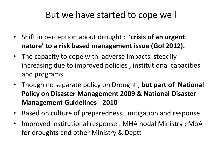## But we have started to cope well

- Shift in perception about drought : '**crisis of an urgent nature' to a risk based management issue (GoI 2012).**
- The capacity to cope with adverse impacts steadily increasing due to improved policies , institutional capacities and programs.
- Though no separate policy on Drought , **but part of National Policy on Disaster Management 2009 & National Disaster Management Guidelines- 2010**
- Based on culture of preparedness , mitigation and response.
- Improved institutional response : MHA nodal Ministry ; MoA for droughts and other Ministry & Deptt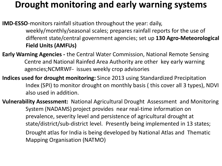## **Drought monitoring and early warning systems**

**IMD-ESSO**-monitors rainfall situation throughout the year: daily, weekly/monthly/seasonal scales; prepares rainfall reports for the use of different state/central government agencies; set up **130 Agro-Meteorological Field Units (AMFUs)** 

**Early Warning Agencies -** the Central Water Commission, National Remote Sensing Centre and National Rainfed Area Authority are other key early warning agencies;NCMRWF-issues weekly crop advisories

**Indices used for drought monitoring:** Since 2013 using Standardized Precipitation Index (SPI) to monitor drought on monthly basis ( this cover all 3 types), NDVI also used in addition.

**Vulnerability Assessment:** National Agricultural Drought Assessment and Monitoring System (NADAMS) project provides near real-time information on prevalence, severity level and persistence of agricultural drought at state/district/sub-district level. Presently being implemented in 13 states; Drought atlas for India is being developed by National Atlas and Thematic Mapping Organisation (NATMO)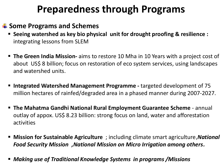# **Preparedness through Programs**

#### $\frac{1}{2}$  **Some Programs and Schemes**

- **Seeing watershed as key bio physical unit for drought proofing & resilience :**  integrating lessons from SLEM
- **The Green India Mission-** aims to restore 10 Mha in 10 Years with a project cost of about US\$ 8 billion; focus on restoration of eco system services, using landscapes and watershed units.
- **Integrated Watershed Management Programme -** targeted development of 75 million hectares of rainfed/degraded area in a phased manner during 2007-2027.
- **The Mahatma Gandhi National Rural Employment Guarantee Scheme**  annual outlay of appox. US\$ 8.23 billion: strong focus on land, water and afforestation activities
- **Mission for Sustainable Agriculture** ; including climate smart agriculture,*National Food Security Mission ,National Mission on Micro Irrigation among others***.**
- *Making use of Traditional Knowledge Systems in programs /Missions*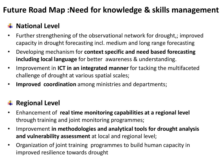### **Future Road Map :Need for knowledge & skills management**

### **↓ National Level**

- Further strengthening of the observational network for drought,; improved capacity in drought forecasting incl. medium and long range forecasting
- Developing mechanism for **context specific and need based forecasting including local language** for better awareness & understanding.
- Improvement in **ICT in an integrated manner** for tacking the multifaceted challenge of drought at various spatial scales;
- **Improved coordination** among ministries and departments;

### **Regional Level**

- Enhancement of **real time monitoring capabilities at a regional level**  through training and joint monitoring programmes;
- Improvement **in methodologies and analytical tools for drought analysis and vulnerability assessment** at local and regional level;
- Organization of joint training programmes to build human capacity in improved resilience towards drought